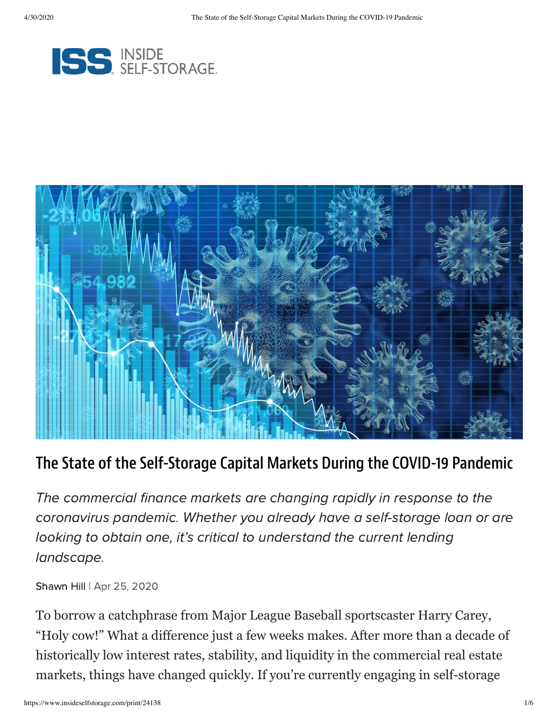



#### The State of the Self-Storage Capital Markets During the COVID-19 Pandemic

The commercial finance markets are changing rapidly in response to the coronavirus pandemic. Whether you already have a self-storage loan or are looking to obtain one, it's critical to understand the current lending landscape.

[Shawn](https://www.insideselfstorage.com/author/Shawn-Hill) Hill | Apr 25, 2020

To borrow a catchphrase from Major League Baseball sportscaster Harry Carey, "Holy cow!" What a difference just a few weeks makes. After more than a decade of historically low interest rates, stability, and liquidity in the commercial real estate markets, things have changed quickly. If you're currently engaging in self-storage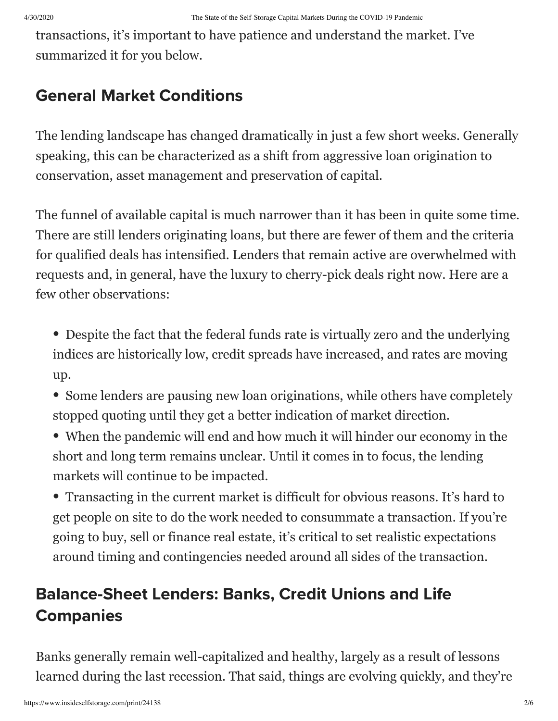transactions, it's important to have patience and understand the market. I've summarized it for you below.

### General Market Conditions

The lending landscape has changed dramatically in just a few short weeks. Generally speaking, this can be characterized as a shift from aggressive loan origination to conservation, asset management and preservation of capital.

The funnel of available capital is much narrower than it has been in quite some time. There are still lenders originating loans, but there are fewer of them and the criteria for qualified deals has intensified. Lenders that remain active are overwhelmed with requests and, in general, have the luxury to cherry-pick deals right now. Here are a few other observations:

• Despite the fact that the federal funds rate is virtually zero and the underlying indices are historically low, credit spreads have increased, and rates are moving up.

- Some lenders are pausing new loan originations, while others have completely stopped quoting until they get a better indication of market direction.
- When the pandemic will end and how much it will hinder our economy in the short and long term remains unclear. Until it comes in to focus, the lending markets will continue to be impacted.

• Transacting in the current market is difficult for obvious reasons. It's hard to get people on site to do the work needed to consummate a transaction. If you're going to buy, sell or finance real estate, it's critical to set realistic expectations around timing and contingencies needed around all sides of the transaction.

## Balance-Sheet Lenders: Banks, Credit Unions and Life **Companies**

Banks generally remain well-capitalized and healthy, largely as a result of lessons learned during the last recession. That said, things are evolving quickly, and they're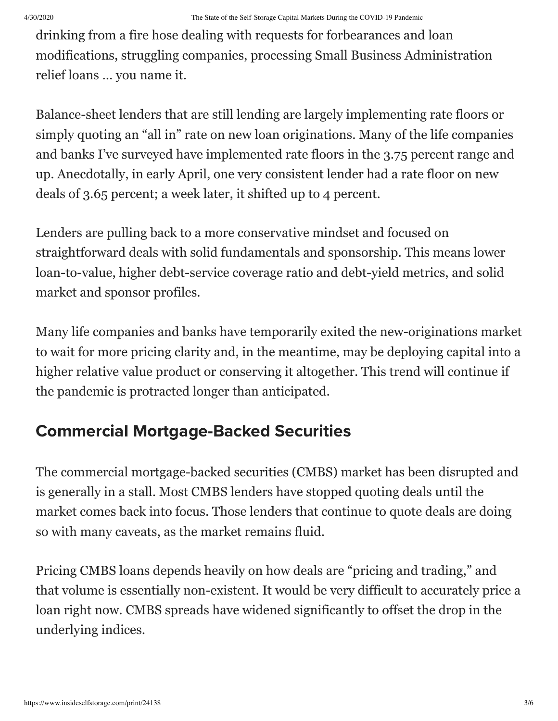drinking from a fire hose dealing with requests for forbearances and loan modifications, struggling companies, processing Small Business Administration relief loans … you name it.

Balance-sheet lenders that are still lending are largely implementing rate floors or simply quoting an "all in" rate on new loan originations. Many of the life companies and banks I've surveyed have implemented rate floors in the 3.75 percent range and up. Anecdotally, in early April, one very consistent lender had a rate floor on new deals of 3.65 percent; a week later, it shifted up to 4 percent.

Lenders are pulling back to a more conservative mindset and focused on straightforward deals with solid fundamentals and sponsorship. This means lower loan-to-value, higher debt-service coverage ratio and debt-yield metrics, and solid market and sponsor profiles.

Many life companies and banks have temporarily exited the new-originations market to wait for more pricing clarity and, in the meantime, may be deploying capital into a higher relative value product or conserving it altogether. This trend will continue if the pandemic is protracted longer than anticipated.

### Commercial Mortgage-Backed Securities

The commercial mortgage-backed securities (CMBS) market has been disrupted and is generally in a stall. Most CMBS lenders have stopped quoting deals until the market comes back into focus. Those lenders that continue to quote deals are doing so with many caveats, as the market remains fluid.

Pricing CMBS loans depends heavily on how deals are "pricing and trading," and that volume is essentially non-existent. It would be very difficult to accurately price a loan right now. CMBS spreads have widened significantly to offset the drop in the underlying indices.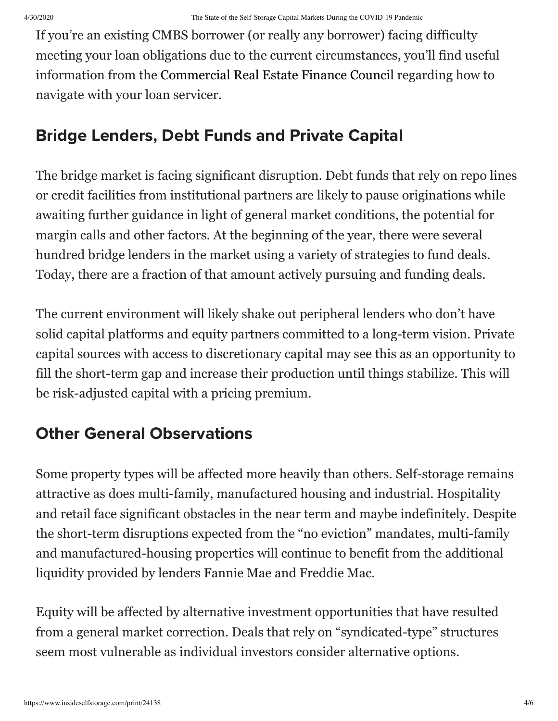If you're an existing CMBS borrower (or really any borrower) facing difficulty meeting your loan obligations due to the current circumstances, you'll find useful information from the [Commercial Real Estate Finance Council](https://protect-us.mimecast.com/s/GBiQC68m05HoMZXpKS6Yuq8?domain=r20.rs6.net) regarding how to navigate with your loan servicer.

### Bridge Lenders, Debt Funds and Private Capital

The bridge market is facing significant disruption. Debt funds that rely on repo lines or credit facilities from institutional partners are likely to pause originations while awaiting further guidance in light of general market conditions, the potential for margin calls and other factors. At the beginning of the year, there were several hundred bridge lenders in the market using a variety of strategies to fund deals. Today, there are a fraction of that amount actively pursuing and funding deals.

The current environment will likely shake out peripheral lenders who don't have solid capital platforms and equity partners committed to a long-term vision. Private capital sources with access to discretionary capital may see this as an opportunity to fill the short-term gap and increase their production until things stabilize. This will be risk-adjusted capital with a pricing premium.

# Other General Observations

Some property types will be affected more heavily than others. Self-storage remains attractive as does multi-family, manufactured housing and industrial. Hospitality and retail face significant obstacles in the near term and maybe indefinitely. Despite the short-term disruptions expected from the "no eviction" mandates, multi-family and manufactured-housing properties will continue to benefit from the additional liquidity provided by lenders Fannie Mae and Freddie Mac.

Equity will be affected by alternative investment opportunities that have resulted from a general market correction. Deals that rely on "syndicated-type" structures seem most vulnerable as individual investors consider alternative options.